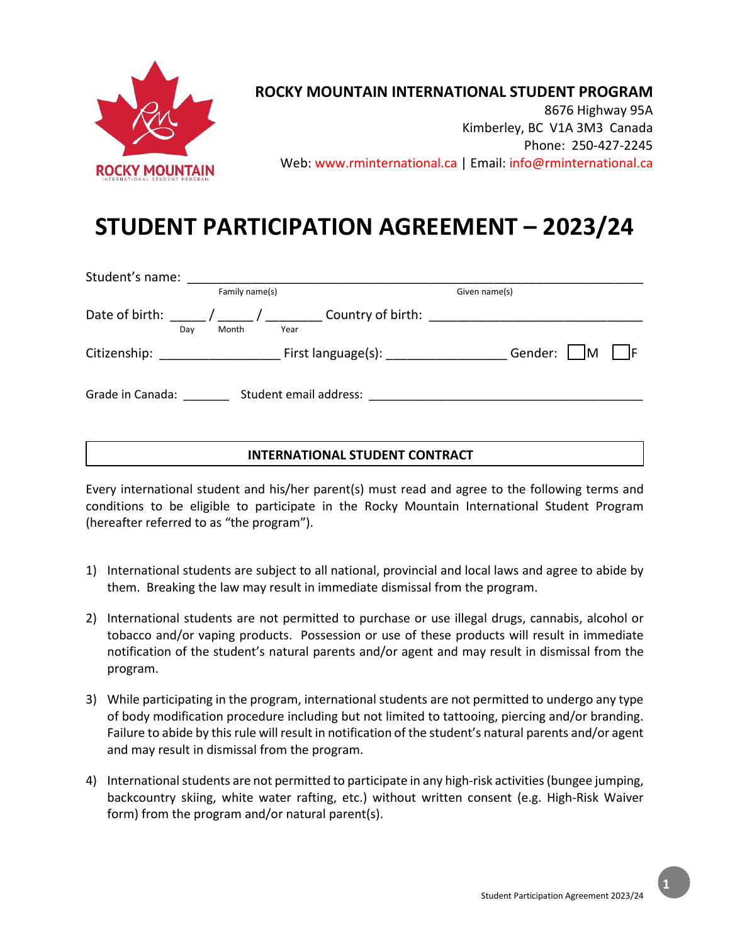

## **ROCKY MOUNTAIN INTERNATIONAL STUDENT PROGRAM**

8676 Highway 95A Kimberley, BC V1A 3M3 Canada Phone: 250-427-2245 Web: www.rminternational.ca | Email: info@rminternational.ca

## **STUDENT PARTICIPATION AGREEMENT – 2023/24**

| Student's name:  |                      |                                  |                       |
|------------------|----------------------|----------------------------------|-----------------------|
|                  | Family name(s)       |                                  | Given name(s)         |
| Date of birth:   | Month<br>Day<br>Year | Country of birth:                |                       |
| Citizenship:     |                      | First language(s): _____________ | Gender:  <br><b>M</b> |
| Grade in Canada: |                      | Student email address:           |                       |

## **INTERNATIONAL STUDENT CONTRACT**

Every international student and his/her parent(s) must read and agree to the following terms and conditions to be eligible to participate in the Rocky Mountain International Student Program (hereafter referred to as "the program").

- 1) International students are subject to all national, provincial and local laws and agree to abide by them. Breaking the law may result in immediate dismissal from the program.
- 2) International students are not permitted to purchase or use illegal drugs, cannabis, alcohol or tobacco and/or vaping products. Possession or use of these products will result in immediate notification of the student's natural parents and/or agent and may result in dismissal from the program.
- 3) While participating in the program, international students are not permitted to undergo any type of body modification procedure including but not limited to tattooing, piercing and/or branding. Failure to abide by this rule will result in notification of the student's natural parents and/or agent and may result in dismissal from the program.
- 4) International students are not permitted to participate in any high-risk activities (bungee jumping, backcountry skiing, white water rafting, etc.) without written consent (e.g. High-Risk Waiver form) from the program and/or natural parent(s).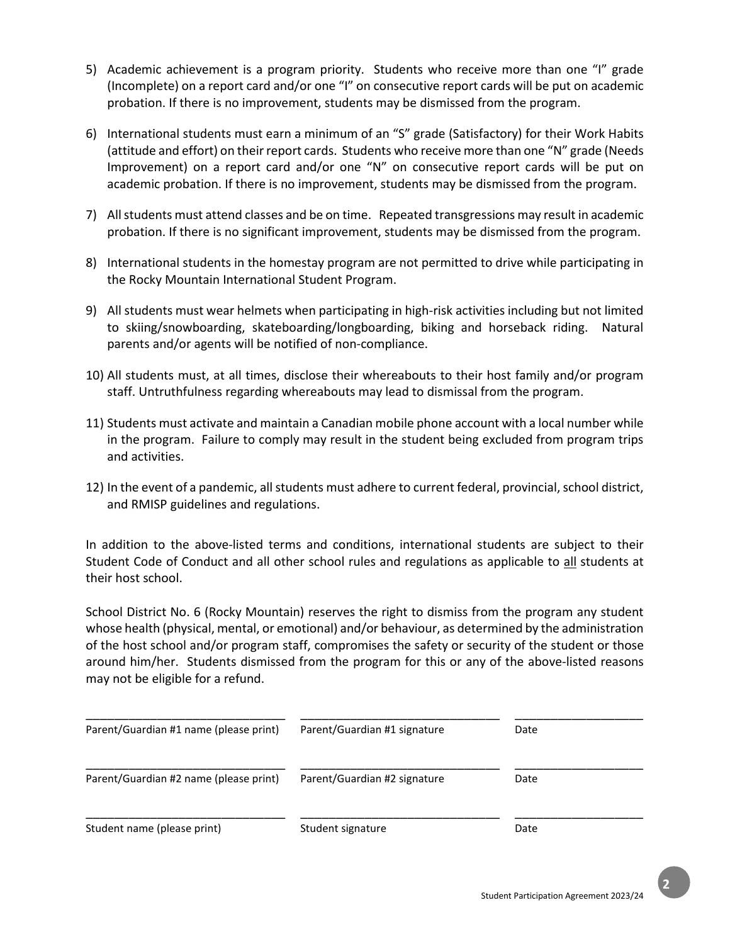- 5) Academic achievement is a program priority. Students who receive more than one "I" grade (Incomplete) on a report card and/or one "I" on consecutive report cards will be put on academic probation. If there is no improvement, students may be dismissed from the program.
- 6) International students must earn a minimum of an "S" grade (Satisfactory) for their Work Habits (attitude and effort) on their report cards. Students who receive more than one "N" grade (Needs Improvement) on a report card and/or one "N" on consecutive report cards will be put on academic probation. If there is no improvement, students may be dismissed from the program.
- 7) All students must attend classes and be on time. Repeated transgressions may result in academic probation. If there is no significant improvement, students may be dismissed from the program.
- 8) International students in the homestay program are not permitted to drive while participating in the Rocky Mountain International Student Program.
- 9) All students must wear helmets when participating in high-risk activities including but not limited to skiing/snowboarding, skateboarding/longboarding, biking and horseback riding. Natural parents and/or agents will be notified of non-compliance.
- 10) All students must, at all times, disclose their whereabouts to their host family and/or program staff. Untruthfulness regarding whereabouts may lead to dismissal from the program.
- 11) Students must activate and maintain a Canadian mobile phone account with a local number while in the program. Failure to comply may result in the student being excluded from program trips and activities.
- 12) In the event of a pandemic, all students must adhere to current federal, provincial, school district, and RMISP guidelines and regulations.

In addition to the above-listed terms and conditions, international students are subject to their Student Code of Conduct and all other school rules and regulations as applicable to all students at their host school.

School District No. 6 (Rocky Mountain) reserves the right to dismiss from the program any student whose health (physical, mental, or emotional) and/or behaviour, as determined by the administration of the host school and/or program staff, compromises the safety or security of the student or those around him/her. Students dismissed from the program for this or any of the above-listed reasons may not be eligible for a refund.

| Parent/Guardian #1 name (please print) | Parent/Guardian #1 signature | Date |
|----------------------------------------|------------------------------|------|
| Parent/Guardian #2 name (please print) | Parent/Guardian #2 signature | Date |
| Student name (please print)            | Student signature            | Date |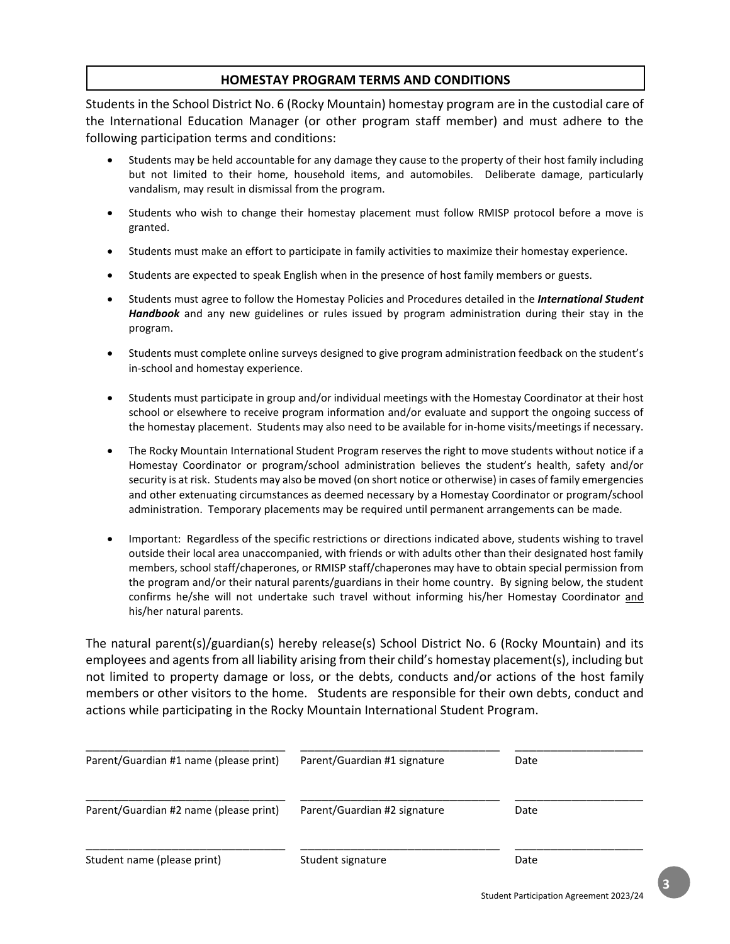#### **HOMESTAY PROGRAM TERMS AND CONDITIONS**

Students in the School District No. 6 (Rocky Mountain) homestay program are in the custodial care of the International Education Manager (or other program staff member) and must adhere to the following participation terms and conditions:

- Students may be held accountable for any damage they cause to the property of their host family including but not limited to their home, household items, and automobiles. Deliberate damage, particularly vandalism, may result in dismissal from the program.
- Students who wish to change their homestay placement must follow RMISP protocol before a move is granted.
- Students must make an effort to participate in family activities to maximize their homestay experience.
- Students are expected to speak English when in the presence of host family members or guests.
- Students must agree to follow the Homestay Policies and Procedures detailed in the *International Student Handbook* and any new guidelines or rules issued by program administration during their stay in the program.
- Students must complete online surveys designed to give program administration feedback on the student's in-school and homestay experience.
- Students must participate in group and/or individual meetings with the Homestay Coordinator at their host school or elsewhere to receive program information and/or evaluate and support the ongoing success of the homestay placement. Students may also need to be available for in-home visits/meetings if necessary.
- The Rocky Mountain International Student Program reserves the right to move students without notice if a Homestay Coordinator or program/school administration believes the student's health, safety and/or security is at risk. Students may also be moved (on short notice or otherwise) in cases of family emergencies and other extenuating circumstances as deemed necessary by a Homestay Coordinator or program/school administration. Temporary placements may be required until permanent arrangements can be made.
- Important: Regardless of the specific restrictions or directions indicated above, students wishing to travel outside their local area unaccompanied, with friends or with adults other than their designated host family members, school staff/chaperones, or RMISP staff/chaperones may have to obtain special permission from the program and/or their natural parents/guardians in their home country. By signing below, the student confirms he/she will not undertake such travel without informing his/her Homestay Coordinator and his/her natural parents.

The natural parent(s)/guardian(s) hereby release(s) School District No. 6 (Rocky Mountain) and its employees and agents from all liability arising from their child's homestay placement(s), including but not limited to property damage or loss, or the debts, conducts and/or actions of the host family members or other visitors to the home. Students are responsible for their own debts, conduct and actions while participating in the Rocky Mountain International Student Program.

| Parent/Guardian #1 name (please print) | Parent/Guardian #1 signature | Date |
|----------------------------------------|------------------------------|------|
| Parent/Guardian #2 name (please print) | Parent/Guardian #2 signature | Date |
| Student name (please print)            | Student signature            | Date |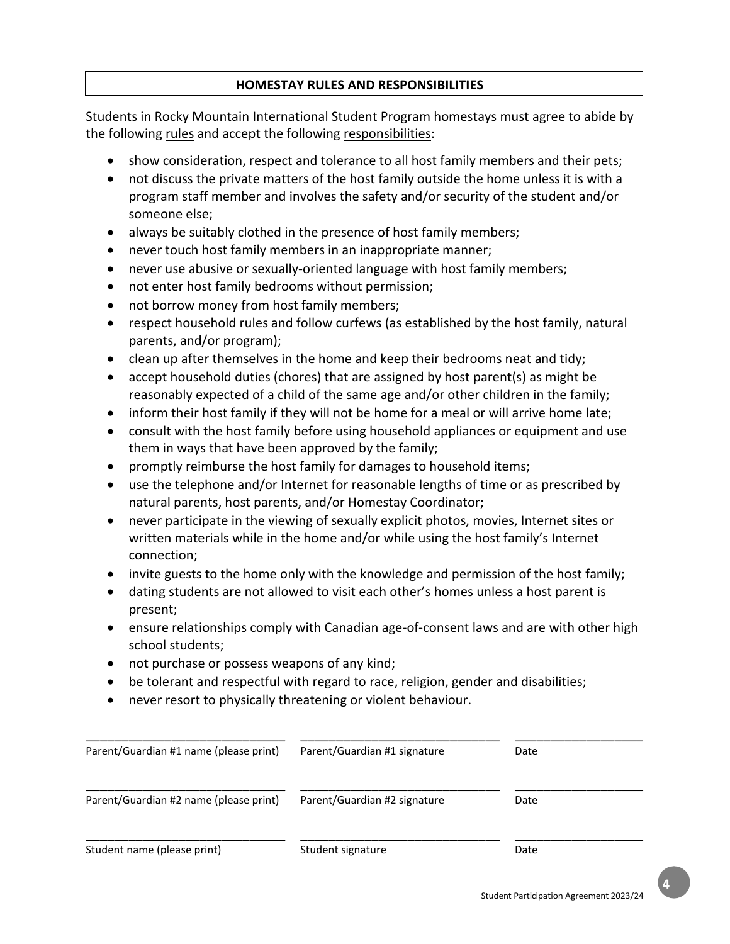## **HOMESTAY RULES AND RESPONSIBILITIES**

Students in Rocky Mountain International Student Program homestays must agree to abide by the following rules and accept the following responsibilities:

- show consideration, respect and tolerance to all host family members and their pets;
- not discuss the private matters of the host family outside the home unless it is with a program staff member and involves the safety and/or security of the student and/or someone else;
- always be suitably clothed in the presence of host family members;
- never touch host family members in an inappropriate manner;
- never use abusive or sexually-oriented language with host family members;
- not enter host family bedrooms without permission;
- not borrow money from host family members;
- respect household rules and follow curfews (as established by the host family, natural parents, and/or program);
- clean up after themselves in the home and keep their bedrooms neat and tidy;
- accept household duties (chores) that are assigned by host parent(s) as might be reasonably expected of a child of the same age and/or other children in the family;
- inform their host family if they will not be home for a meal or will arrive home late;
- consult with the host family before using household appliances or equipment and use them in ways that have been approved by the family;
- promptly reimburse the host family for damages to household items;
- use the telephone and/or Internet for reasonable lengths of time or as prescribed by natural parents, host parents, and/or Homestay Coordinator;
- never participate in the viewing of sexually explicit photos, movies, Internet sites or written materials while in the home and/or while using the host family's Internet connection;
- invite guests to the home only with the knowledge and permission of the host family;
- dating students are not allowed to visit each other's homes unless a host parent is present;
- ensure relationships comply with Canadian age-of-consent laws and are with other high school students;
- not purchase or possess weapons of any kind;
- be tolerant and respectful with regard to race, religion, gender and disabilities;
- never resort to physically threatening or violent behaviour.

| Parent/Guardian #1 name (please print) | Parent/Guardian #1 signature | Date |
|----------------------------------------|------------------------------|------|
| Parent/Guardian #2 name (please print) | Parent/Guardian #2 signature | Date |
| Student name (please print)            | Student signature            | Date |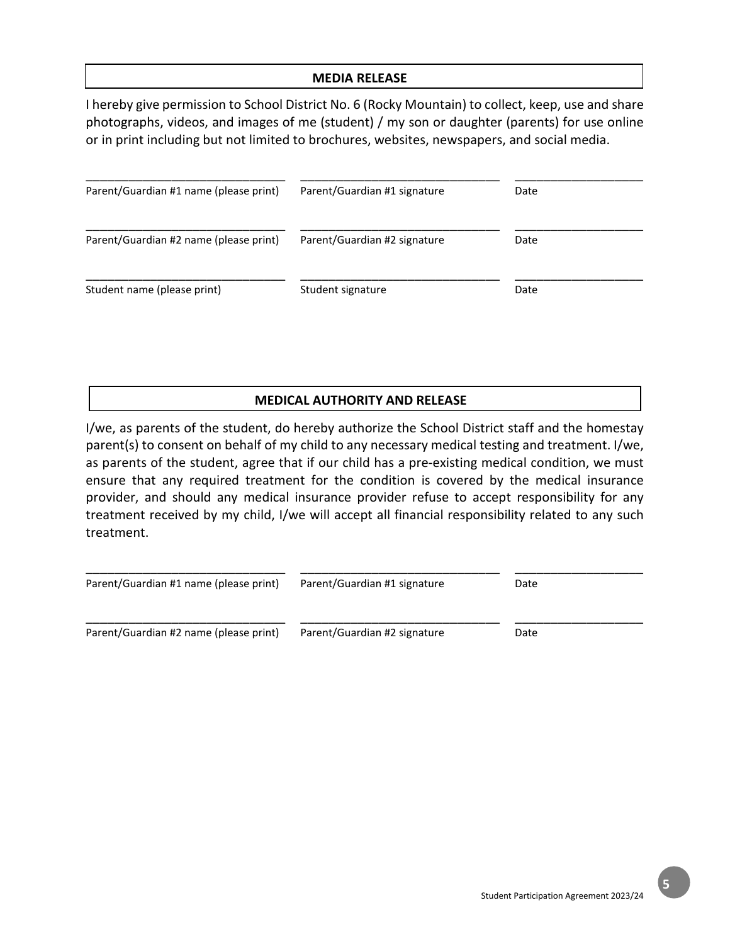#### **MEDIA RELEASE**

I hereby give permission to School District No. 6 (Rocky Mountain) to collect, keep, use and share photographs, videos, and images of me (student) / my son or daughter (parents) for use online or in print including but not limited to brochures, websites, newspapers, and social media.

| Parent/Guardian #1 name (please print) | Parent/Guardian #1 signature | Date |  |
|----------------------------------------|------------------------------|------|--|
| Parent/Guardian #2 name (please print) | Parent/Guardian #2 signature | Date |  |
| Student name (please print)            | Student signature            | Date |  |

#### **MEDICAL AUTHORITY AND RELEASE**

I/we, as parents of the student, do hereby authorize the School District staff and the homestay parent(s) to consent on behalf of my child to any necessary medical testing and treatment. I/we, as parents of the student, agree that if our child has a pre-existing medical condition, we must ensure that any required treatment for the condition is covered by the medical insurance provider, and should any medical insurance provider refuse to accept responsibility for any treatment received by my child, I/we will accept all financial responsibility related to any such treatment.

| Parent/Guardian #1 name (please print) | Parent/Guardian #1 signature | Date |  |
|----------------------------------------|------------------------------|------|--|
| Parent/Guardian #2 name (please print) | Parent/Guardian #2 signature | Date |  |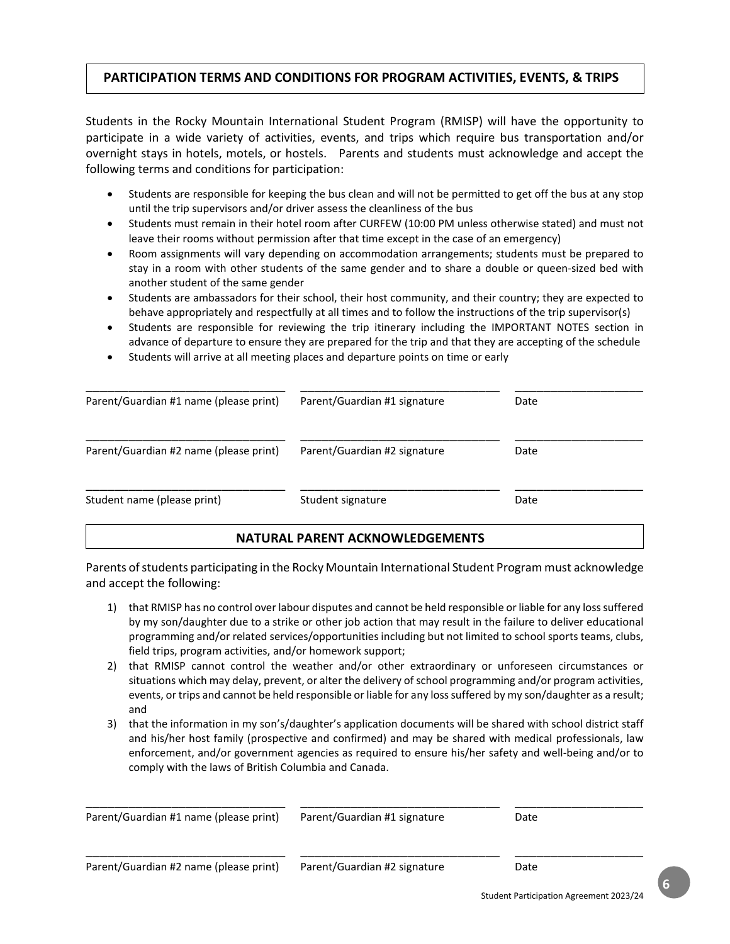## **PARTICIPATION TERMS AND CONDITIONS FOR PROGRAM ACTIVITIES, EVENTS, & TRIPS**

Students in the Rocky Mountain International Student Program (RMISP) will have the opportunity to participate in a wide variety of activities, events, and trips which require bus transportation and/or overnight stays in hotels, motels, or hostels. Parents and students must acknowledge and accept the following terms and conditions for participation:

- Students are responsible for keeping the bus clean and will not be permitted to get off the bus at any stop until the trip supervisors and/or driver assess the cleanliness of the bus
- Students must remain in their hotel room after CURFEW (10:00 PM unless otherwise stated) and must not leave their rooms without permission after that time except in the case of an emergency)
- Room assignments will vary depending on accommodation arrangements; students must be prepared to stay in a room with other students of the same gender and to share a double or queen-sized bed with another student of the same gender
- Students are ambassadors for their school, their host community, and their country; they are expected to behave appropriately and respectfully at all times and to follow the instructions of the trip supervisor(s)
- Students are responsible for reviewing the trip itinerary including the IMPORTANT NOTES section in advance of departure to ensure they are prepared for the trip and that they are accepting of the schedule
- Students will arrive at all meeting places and departure points on time or early

| Parent/Guardian #1 name (please print) | Parent/Guardian #1 signature | Date |
|----------------------------------------|------------------------------|------|
| Parent/Guardian #2 name (please print) | Parent/Guardian #2 signature | Date |
| Student name (please print)            | Student signature            | Date |

#### **NATURAL PARENT ACKNOWLEDGEMENTS**

Parents of students participating in the Rocky Mountain International Student Program must acknowledge and accept the following:

- 1) that RMISP has no control over labour disputes and cannot be held responsible or liable for any loss suffered by my son/daughter due to a strike or other job action that may result in the failure to deliver educational programming and/or related services/opportunities including but not limited to school sports teams, clubs, field trips, program activities, and/or homework support;
- 2) that RMISP cannot control the weather and/or other extraordinary or unforeseen circumstances or situations which may delay, prevent, or alter the delivery of school programming and/or program activities, events, or trips and cannot be held responsible or liable for any loss suffered by my son/daughter as a result; and
- 3) that the information in my son's/daughter's application documents will be shared with school district staff and his/her host family (prospective and confirmed) and may be shared with medical professionals, law enforcement, and/or government agencies as required to ensure his/her safety and well-being and/or to comply with the laws of British Columbia and Canada.

| Parent/Guardian #1 name (please print) | Parent/Guardian #1 signature | Date |  |
|----------------------------------------|------------------------------|------|--|
| Parent/Guardian #2 name (please print) | Parent/Guardian #2 signature | Date |  |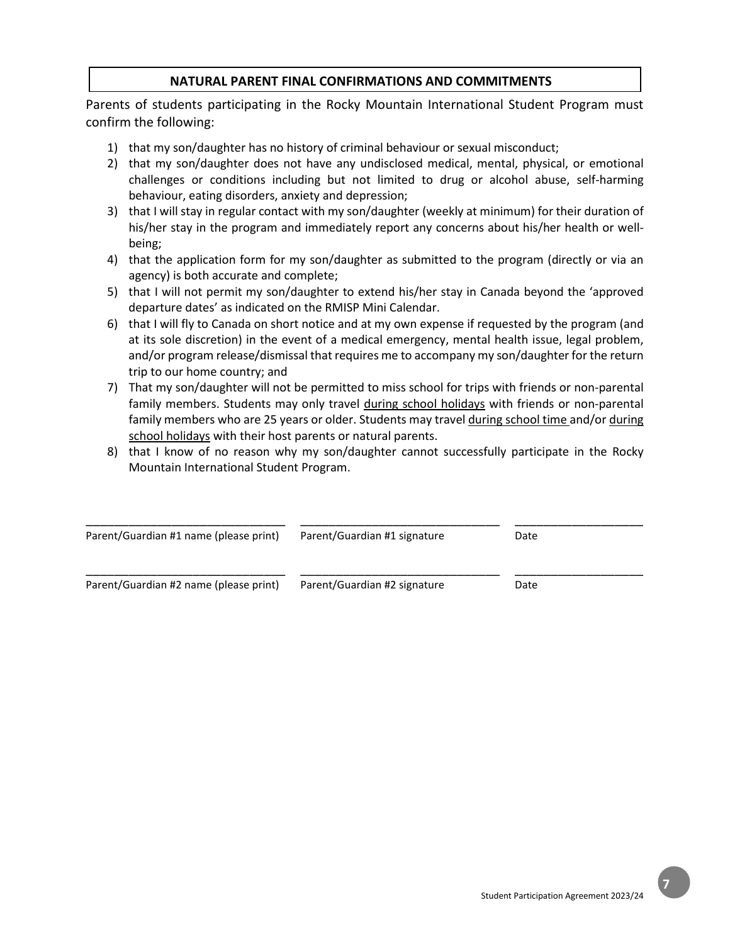## **NATURAL PARENT FINAL CONFIRMATIONS AND COMMITMENTS**

Parents of students participating in the Rocky Mountain International Student Program must confirm the following:

- 1) that my son/daughter has no history of criminal behaviour or sexual misconduct;
- 2) that my son/daughter does not have any undisclosed medical, mental, physical, or emotional challenges or conditions including but not limited to drug or alcohol abuse, self-harming behaviour, eating disorders, anxiety and depression;
- 3) that I will stay in regular contact with my son/daughter (weekly at minimum) for their duration of his/her stay in the program and immediately report any concerns about his/her health or wellbeing;
- 4) that the application form for my son/daughter as submitted to the program (directly or via an agency) is both accurate and complete;
- 5) that I will not permit my son/daughter to extend his/her stay in Canada beyond the 'approved departure dates' as indicated on the RMISP Mini Calendar.
- 6) that I will fly to Canada on short notice and at my own expense if requested by the program (and at its sole discretion) in the event of a medical emergency, mental health issue, legal problem, and/or program release/dismissal that requires me to accompany my son/daughter for the return trip to our home country; and
- 7) That my son/daughter will not be permitted to miss school for trips with friends or non-parental family members. Students may only travel during school holidays with friends or non-parental family members who are 25 years or older. Students may travel during school time and/or during school holidays with their host parents or natural parents.
- 8) that I know of no reason why my son/daughter cannot successfully participate in the Rocky Mountain International Student Program.

| Parent/Guardian #1 name (please print) | Parent/Guardian #1 signature | Date |  |
|----------------------------------------|------------------------------|------|--|
|                                        |                              |      |  |
| Parent/Guardian #2 name (please print) | Parent/Guardian #2 signature | Date |  |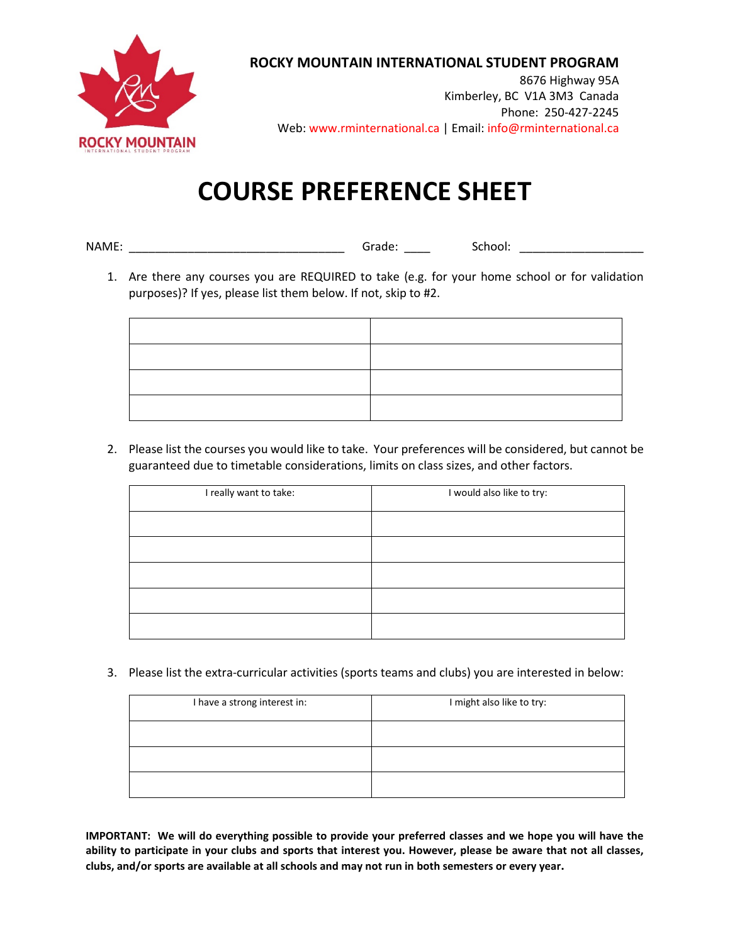

## **ROCKY MOUNTAIN INTERNATIONAL STUDENT PROGRAM**

8676 Highway 95A Kimberley, BC V1A 3M3 Canada Phone: 250-427-2245 Web: www.rminternational.ca | Email: info@rminternational.ca

# **COURSE PREFERENCE SHEET**

- NAME: \_\_\_\_\_\_\_\_\_\_\_\_\_\_\_\_\_\_\_\_\_\_\_\_\_\_\_\_\_\_\_\_\_ Grade: \_\_\_\_ School: \_\_\_\_\_\_\_\_\_\_\_\_\_\_\_\_\_\_\_
	- 1. Are there any courses you are REQUIRED to take (e.g. for your home school or for validation purposes)? If yes, please list them below. If not, skip to #2.

| <u> 2001 - Andrea Andrew American American American (</u> |  |
|-----------------------------------------------------------|--|
|                                                           |  |
| the contract of the contract of                           |  |
|                                                           |  |

2. Please list the courses you would like to take. Your preferences will be considered, but cannot be guaranteed due to timetable considerations, limits on class sizes, and other factors.

| I really want to take: | I would also like to try: |
|------------------------|---------------------------|
|                        |                           |
|                        |                           |
|                        |                           |
|                        |                           |
|                        |                           |

3. Please list the extra-curricular activities (sports teams and clubs) you are interested in below:

| I have a strong interest in: | I might also like to try: |
|------------------------------|---------------------------|
|                              |                           |
|                              |                           |
|                              |                           |

**IMPORTANT: We will do everything possible to provide your preferred classes and we hope you will have the ability to participate in your clubs and sports that interest you. However, please be aware that not all classes, clubs, and/or sports are available at all schools and may not run in both semesters or every year.**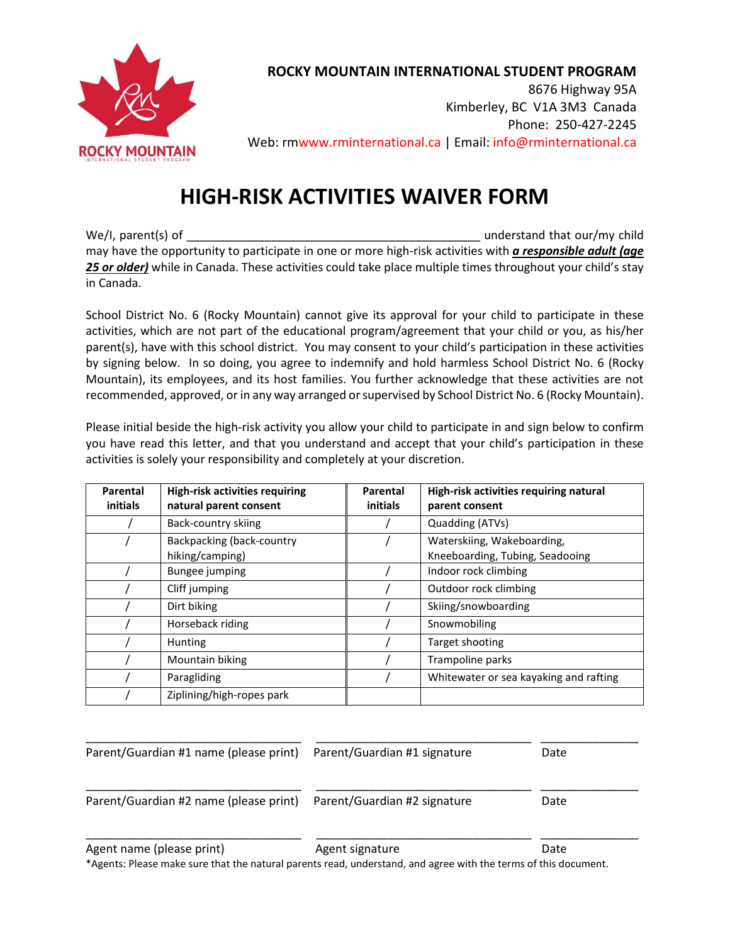

**ROCKY MOUNTAIN INTERNATIONAL STUDENT PROGRAM**

8676 Highway 95A Kimberley, BC V1A 3M3 Canada Phone: 250-427-2245 Web: rmwww.rminternational.ca | Email: info@rminternational.ca

## **HIGH-RISK ACTIVITIES WAIVER FORM**

We/I, parent(s) of \_\_\_\_\_\_\_\_\_\_\_\_\_\_\_\_\_\_\_\_\_\_\_\_\_\_\_\_\_\_\_\_\_\_\_\_\_\_\_\_\_\_\_\_\_ understand that our/my child may have the opportunity to participate in one or more high-risk activities with *a responsible adult (age 25 or older)* while in Canada. These activities could take place multiple times throughout your child's stay in Canada.

School District No. 6 (Rocky Mountain) cannot give its approval for your child to participate in these activities, which are not part of the educational program/agreement that your child or you, as his/her parent(s), have with this school district. You may consent to your child's participation in these activities by signing below. In so doing, you agree to indemnify and hold harmless School District No. 6 (Rocky Mountain), its employees, and its host families. You further acknowledge that these activities are not recommended, approved, or in any way arranged or supervised by School District No. 6 (Rocky Mountain).

Please initial beside the high-risk activity you allow your child to participate in and sign below to confirm you have read this letter, and that you understand and accept that your child's participation in these activities is solely your responsibility and completely at your discretion.

| Parental<br>initials | <b>High-risk activities requiring</b><br>natural parent consent | Parental<br>initials | High-risk activities requiring natural<br>parent consent      |
|----------------------|-----------------------------------------------------------------|----------------------|---------------------------------------------------------------|
|                      | Back-country skiing                                             |                      | Quadding (ATVs)                                               |
|                      | Backpacking (back-country<br>hiking/camping)                    |                      | Waterskiing, Wakeboarding,<br>Kneeboarding, Tubing, Seadooing |
|                      | <b>Bungee jumping</b>                                           |                      | Indoor rock climbing                                          |
|                      | Cliff jumping                                                   |                      | Outdoor rock climbing                                         |
|                      | Dirt biking                                                     |                      | Skiing/snowboarding                                           |
|                      | Horseback riding                                                |                      | Snowmobiling                                                  |
|                      | Hunting                                                         |                      | Target shooting                                               |
|                      | Mountain biking                                                 |                      | Trampoline parks                                              |
|                      | Paragliding                                                     |                      | Whitewater or sea kayaking and rafting                        |
|                      | Ziplining/high-ropes park                                       |                      |                                                               |

| Parent/Guardian #1 name (please print)                                                                                                       | Parent/Guardian #1 signature | Date |
|----------------------------------------------------------------------------------------------------------------------------------------------|------------------------------|------|
| Parent/Guardian #2 name (please print)                                                                                                       | Parent/Guardian #2 signature | Date |
| Agent name (please print)<br>*Agents: Please make sure that the natural parents read, understand, and agree with the terms of this document. | Agent signature              | Date |